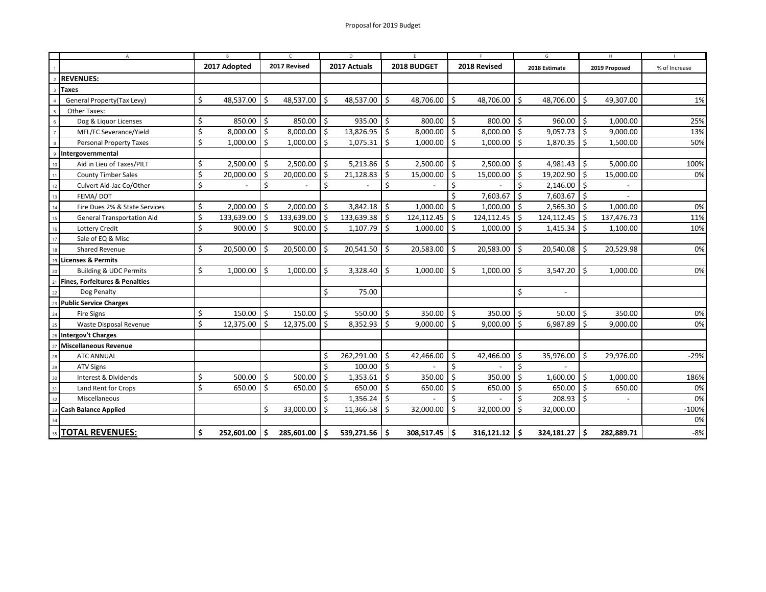|                          | $\overline{A}$<br>R                       |    | $\epsilon$   |     | D                 |     | F                 |    | F.              |     | G                 |     | H                        |     |               |               |  |
|--------------------------|-------------------------------------------|----|--------------|-----|-------------------|-----|-------------------|----|-----------------|-----|-------------------|-----|--------------------------|-----|---------------|---------------|--|
|                          |                                           |    | 2017 Adopted |     | 2017 Revised      |     | 2017 Actuals      |    | 2018 BUDGET     |     | 2018 Revised      |     | 2018 Estimate            |     | 2019 Proposed | % of Increase |  |
|                          | <b>REVENUES:</b>                          |    |              |     |                   |     |                   |    |                 |     |                   |     |                          |     |               |               |  |
|                          | <b>Taxes</b>                              |    |              |     |                   |     |                   |    |                 |     |                   |     |                          |     |               |               |  |
|                          | General Property(Tax Levy)                | \$ | 48,537.00    | \$  | 48,537.00         | \$  | 48,537.00         | \$ | 48,706.00       | \$  | 48,706.00         | Ŝ.  | 48,706.00                | \$  | 49,307.00     | 1%            |  |
|                          | Other Taxes:                              |    |              |     |                   |     |                   |    |                 |     |                   |     |                          |     |               |               |  |
| 6                        | Dog & Liquor Licenses                     | \$ | 850.00       | \$  | 850.00            | Ŝ.  | 935.00            | \$ | 800.00          | \$  | 800.00            | Ŝ.  | 960.00                   | Ŝ.  | 1,000.00      | 25%           |  |
| $\overline{7}$           | MFL/FC Severance/Yield                    | Ś  | 8,000.00     | -\$ | $8,000.00$ \$     |     | $13,826.95$ \$    |    | $8,000.00$ \$   |     | $8,000.00$ \$     |     | $9,057.73$ \$            |     | 9,000.00      | 13%           |  |
| $\boldsymbol{8}$         | <b>Personal Property Taxes</b>            | \$ | 1,000.00     | -\$ | $1,000.00$ \$     |     | 1,075.31          | \$ | $1,000.00$   \$ |     | $1,000.00$ \$     |     | $1,870.35$ \$            |     | 1,500.00      | 50%           |  |
| $\mathbf{Q}$             | Intergovernmental                         |    |              |     |                   |     |                   |    |                 |     |                   |     |                          |     |               |               |  |
| 10                       | Aid in Lieu of Taxes/PILT                 | \$ | 2,500.00     | \$  | $2,500.00$ \$     |     | 5,213.86          | \$ | $2,500.00$ \$   |     | 2,500.00          | Ŝ.  | 4,981.43                 | Ŝ.  | 5,000.00      | 100%          |  |
| 11                       | <b>County Timber Sales</b>                | \$ | 20,000.00    | \$  | 20,000.00         | Ŝ.  | 21,128.83         | \$ | 15,000.00       | \$  | 15,000.00         | Ŝ.  | 19,202.90                | \$. | 15,000.00     | 0%            |  |
| 12                       | Culvert Aid-Jac Co/Other                  | \$ |              | \$  |                   | \$  |                   | \$ |                 | Ś.  |                   | \$  | 2,146.00                 | Ŝ.  |               |               |  |
| 13                       | FEMA/DOT                                  |    |              |     |                   |     |                   |    |                 | Ś.  | 7,603.67          | Ŝ.  | $7,603.67$ \$            |     |               |               |  |
| 14                       | Fire Dues 2% & State Services             | \$ | 2,000.00     | Ŝ.  | 2,000.00          | Ŝ.  | 3,842.18          | \$ | 1,000.00        | \$  | $1,000.00$ \$     |     | $2,565.30$ \$            |     | 1,000.00      | 0%            |  |
| 15                       | <b>General Transportation Aid</b>         | \$ | 133,639.00   | \$  | 133,639.00        | Ŝ.  | $133,639.38$   \$ |    | 124,112.45      | Ŝ.  | 124,112.45        | -Ś  | 124,112.45               | Ś   | 137,476.73    | 11%           |  |
| 16                       | Lottery Credit                            | \$ | 900.00       | -\$ | $900.00$   \$     |     | $1,107.79$ \$     |    | 1,000.00        | \$  | $1,000.00$ \$     |     | 1,415.34                 | Ŝ.  | 1,100.00      | 10%           |  |
| 17                       | Sale of EQ & Misc                         |    |              |     |                   |     |                   |    |                 |     |                   |     |                          |     |               |               |  |
| 18                       | Shared Revenue                            | \$ | 20,500.00    | Ŝ.  | $20,500.00$ \$    |     | 20,541.50         | \$ | 20,583.00       | \$  | 20,583.00         | -\$ | 20,540.08                | Ŝ.  | 20,529.98     | 0%            |  |
|                          | <b>Licenses &amp; Permits</b>             |    |              |     |                   |     |                   |    |                 |     |                   |     |                          |     |               |               |  |
|                          | <b>Building &amp; UDC Permits</b>         | \$ | 1,000.00     | -\$ | 1,000.00          | Ŝ.  | 3,328.40          | \$ | 1,000.00        | \$  | 1,000.00          | Ŝ.  | 3,547.20                 | \$. | 1,000.00      | 0%            |  |
| $\overline{\phantom{a}}$ | <b>Fines, Forfeitures &amp; Penalties</b> |    |              |     |                   |     |                   |    |                 |     |                   |     |                          |     |               |               |  |
| 22                       | Dog Penalty                               |    |              |     |                   | \$  | 75.00             |    |                 |     |                   | \$  | $\overline{\phantom{a}}$ |     |               |               |  |
| 23                       | <b>Public Service Charges</b>             |    |              |     |                   |     |                   |    |                 |     |                   |     |                          |     |               |               |  |
| 24                       | <b>Fire Signs</b>                         | \$ | 150.00       | Ŝ.  | $150.00$   \$     |     | $550.00$   \$     |    | $350.00$   \$   |     | $350.00$   \$     |     | $50.00$   \$             |     | 350.00        | 0%            |  |
| 25                       | Waste Disposal Revenue                    | \$ | 12,375.00    | Ŝ.  | $12,375.00$ \$    |     | $8,352.93$ \$     |    | $9,000.00$ \$   |     | $9,000.00$ \$     |     | 6,987.89                 | Ŝ.  | 9,000.00      | 0%            |  |
| 26                       | Intergov't Charges                        |    |              |     |                   |     |                   |    |                 |     |                   |     |                          |     |               |               |  |
| 27                       | Miscellaneous Revenue                     |    |              |     |                   |     |                   |    |                 |     |                   |     |                          |     |               |               |  |
| 28                       | <b>ATC ANNUAL</b>                         |    |              |     |                   | Ś   | 262,291.00        | \$ | 42,466.00       | \$  | 42,466.00         | Ŝ.  | 35,976.00                | Ŝ.  | 29,976.00     | $-29%$        |  |
| 29                       | <b>ATV Signs</b>                          |    |              |     |                   | Ś   | 100.00            | \$ |                 | Ś.  |                   | \$  |                          |     |               |               |  |
| 30                       | Interest & Dividends                      | \$ | 500.00       | \$  | 500.00            | Ŝ.  | 1,353.61          | \$ | 350.00          | Ŝ.  | 350.00            | Ŝ.  | 1,600.00                 | \$  | 1,000.00      | 186%          |  |
| 31                       | Land Rent for Crops                       | \$ | 650.00       | \$  | 650.00 $\vert$ \$ |     | 650.00 $\vert$ \$ |    | 650.00          | \$  | 650.00 $\vert$ \$ |     | 650.00 \$                |     | 650.00        | 0%            |  |
| 32                       | Miscellaneous                             |    |              |     |                   | Ś   | $1,356.24$ \$     |    |                 | Ś.  |                   | Ś   | $208.93$ \$              |     |               | 0%            |  |
| 33                       | <b>Cash Balance Applied</b>               |    |              | \$  | 33,000.00         | Ŝ.  | 11,366.58         | \$ | 32,000.00       | Ŝ.  | 32,000.00         | Ŝ.  | 32,000.00                |     |               | $-100%$       |  |
| 34                       |                                           |    |              |     |                   |     |                   |    |                 |     |                   |     |                          |     |               | 0%            |  |
| 35                       | <b>TOTAL REVENUES:</b>                    | Ś  | 252,601.00   | \$. | 285,601.00        | \$. | 539,271.56 \$     |    | 308,517.45      | - Ś | 316,121.12        | Ŝ.  | 324,181.27               | \$  | 282,889.71    | $-8%$         |  |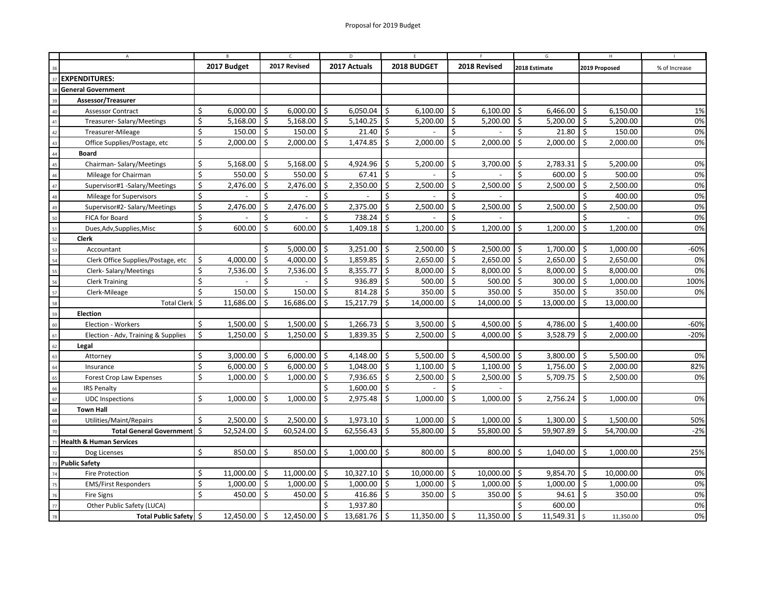|                      | A                                   |             |           |              |                     |              |                      |                    |                     |                     |                   |                    |               |               |           |               |  |
|----------------------|-------------------------------------|-------------|-----------|--------------|---------------------|--------------|----------------------|--------------------|---------------------|---------------------|-------------------|--------------------|---------------|---------------|-----------|---------------|--|
|                      |                                     | 2017 Budget |           | 2017 Revised |                     | 2017 Actuals |                      | 2018 BUDGET        |                     | 2018 Revised        |                   | 2018 Estimate      |               | 2019 Proposed |           | % of Increase |  |
| <b>EXPENDITURES:</b> |                                     |             |           |              |                     |              |                      |                    |                     |                     |                   |                    |               |               |           |               |  |
|                      | <b>General Government</b>           |             |           |              |                     |              |                      |                    |                     |                     |                   |                    |               |               |           |               |  |
|                      | Assessor/Treasurer                  |             |           |              |                     |              |                      |                    |                     |                     |                   |                    |               |               |           |               |  |
| 40                   | <b>Assessor Contract</b>            | \$          | 6.000.00  | \$           | 6.000.00            | Ś            | 6,050.04             | Ŝ.                 | 6,100.00            | \$                  | 6,100.00          | \$                 | 6,466.00      | \$            | 6,150.00  | 1%            |  |
| 41                   | Treasurer-Salary/Meetings           | \$          | 5,168.00  | \$           | 5,168.00            | ا \$         | $5,140.25$ \$        |                    | 5,200.00 $\vert$ \$ |                     | 5,200.00          | \$                 | $5,200.00$ \$ |               | 5,200.00  | 0%            |  |
| 42                   | Treasurer-Mileage                   | \$          | 150.00    | \$           | $150.00$ \$         |              | $21.40$ \$           |                    |                     | \$                  |                   | \$                 | 21.80         | \$            | 150.00    | 0%            |  |
| 43                   | Office Supplies/Postage, etc        | \$          | 2,000.00  | \$           | $2,000.00$ \$       |              | $1,474.85$ \$        |                    | 2,000.00            | \$                  | 2,000.00          | \$                 | 2,000.00      | Ŝ.            | 2,000.00  | 0%            |  |
| 44                   | <b>Board</b>                        |             |           |              |                     |              |                      |                    |                     |                     |                   |                    |               |               |           |               |  |
| 45                   | Chairman-Salary/Meetings            | \$          | 5,168.00  | \$           | 5,168.00            | Ŝ.           | 4,924.96             | Ŝ.                 | 5,200.00            | Ŝ.                  | 3,700.00          | Ś                  | 2,783.31      | \$            | 5,200.00  | 0%            |  |
| 46                   | Mileage for Chairman                | \$          | 550.00    | \$           | 550.00              | S.           | 67.41                | $\vert$ \$         |                     | Ś                   |                   | \$                 | 600.00        | Ŝ.            | 500.00    | 0%            |  |
| 47                   | Supervisor#1 -Salary/Meetings       | \$          | 2,476.00  | \$           | $2,476.00$ \$       |              | $2,350.00$   \$      |                    | 2,500.00            | \$                  | 2,500.00          | \$                 | $2,500.00$ \$ |               | 2,500.00  | 0%            |  |
| 48                   | Mileage for Supervisors             | \$          |           | Ś            |                     | Ś            |                      | Ś.                 |                     | Ś                   |                   |                    |               | Ś.            | 400.00    | 0%            |  |
| 49                   | Supervisor#2- Salary/Meetings       | \$          | 2,476.00  | Ŝ.           | 2.476.00            | Ś            | 2.375.00             | $\mathsf{\dot{S}}$ | 2,500.00            | Ś.                  | 2.500.00          | Ś.                 | 2,500.00      | Ŝ.            | 2,500.00  | 0%            |  |
| 50                   | FICA for Board                      | \$          |           | Ś            |                     | \$           | $738.24$ \$          |                    |                     | \$                  |                   |                    |               | Ś.            |           | 0%            |  |
| 51                   | Dues, Adv, Supplies, Misc           | \$          | 600.00    | \$           | 600.00              | \$           | 1,409.18             | \$                 | 1,200.00            | \$                  | 1,200.00          | Ś.                 | 1,200.00      | \$            | 1,200.00  | 0%            |  |
| 52                   | Clerk                               |             |           |              |                     |              |                      |                    |                     |                     |                   |                    |               |               |           |               |  |
| 53                   | Accountant                          |             |           | \$           | 5,000.00            | \$           | 3,251.00             | \$                 | 2,500.00            | Ŝ.                  | 2,500.00          | \$                 | 1,700.00      | \$            | 1,000.00  | $-60%$        |  |
| 54                   | Clerk Office Supplies/Postage, etc  | \$          | 4,000.00  | \$           | 4,000.00 $\vert$ \$ |              | $1,859.85$ \$        |                    | $2,650.00$ \$       |                     | $2,650.00$ \$     |                    | $2,650.00$ \$ |               | 2,650.00  | 0%            |  |
| 59                   | Clerk-Salary/Meetings               | \$          | 7,536.00  | \$           | 7,536.00            | 5 ا          | $8,355.77$ \$        |                    | 8,000.00            | \$                  | 8,000.00          | ا \$               | 8,000.00      | \$            | 8,000.00  | 0%            |  |
| 56                   | <b>Clerk Training</b>               | \$          |           | \$           |                     | \$           | $936.89$ \$          |                    | 500.00              | Ŝ.                  | $500.00$   \$     |                    | 300.00        | \$            | 1,000.00  | 100%          |  |
| 57                   | Clerk-Mileage                       | Ś.          | 150.00    | \$           | 150.00              | Ś            | $814.28$ \$          |                    | 350.00              | -\$                 | 350.00            | l s                | 350.00        | \$            | 350.00    | 0%            |  |
| 58                   | <b>Total Clerk</b>                  | -\$         | 11,686.00 | \$           | 16,686.00           | \$           | 15,217.79            | \$                 | 14,000.00           | \$                  | 14,000.00         | 5                  | 13,000.00     | \$            | 13,000.00 |               |  |
| 59                   | <b>Election</b>                     |             |           |              |                     |              |                      |                    |                     |                     |                   |                    |               |               |           |               |  |
| 60                   | Election - Workers                  | Ś.          | 1,500.00  | Ŝ.           | $1,500.00$   \$     |              | $1,266.73$ \$        |                    | 3,500.00            | Ŝ.                  | $4,500.00$ \$     |                    | 4,786.00      | Ŝ.            | 1,400.00  | $-60%$        |  |
| 61                   | Election - Adv, Training & Supplies | \$          | 1,250.00  | \$           | 1,250.00            | 5 ا          | $1,839.35$ \$        |                    | 2,500.00            | $\ddot{\mathsf{S}}$ | 4,000.00          | 5 ا                | 3,528.79      | \$            | 2,000.00  | $-20%$        |  |
| 62                   | Legal                               |             |           |              |                     |              |                      |                    |                     |                     |                   |                    |               |               |           |               |  |
| 63                   | Attorney                            | \$          | 3,000.00  | Ŝ.           | 6,000.00            | Ś.           | 4,148.00             | Ŝ.                 | 5,500.00            | Ŝ.                  | 4,500.00          | Ś.                 | 3,800.00      | Ŝ.            | 5,500.00  | 0%            |  |
| 64                   | Insurance                           | \$          | 6,000.00  | \$           | 6,000.00            | ا \$         | $1,048.00$ \$        |                    | 1,100.00            | Ŝ.                  | 1,100.00          | $\vert$ \$         | $1,756.00$ \$ |               | 2,000.00  | 82%           |  |
| 65                   | Forest Crop Law Expenses            | \$          | 1,000.00  | \$           | 1,000.00            | ا \$         | $7,936.65$ \$        |                    | 2,500.00            | \$                  | 2,500.00          | ۱s                 | $5,709.75$ \$ |               | 2,500.00  | 0%            |  |
| 66                   | <b>IRS Penalty</b>                  |             |           |              |                     | \$           | $1,600.00$ \$        |                    |                     | \$                  |                   |                    |               |               |           |               |  |
| 67                   | <b>UDC</b> Inspections              | \$          | 1,000.00  | \$           | 1,000.00            | \$           | $2,975.48$ \$        |                    | 1,000.00            | Ŝ.                  | $1,000.00$ \$     |                    | 2,756.24      | Ŝ.            | 1,000.00  | 0%            |  |
| 68                   | <b>Town Hall</b>                    |             |           |              |                     |              |                      |                    |                     |                     |                   |                    |               |               |           |               |  |
| 69                   | Utilities/Maint/Repairs             | Ś           | 2,500.00  | \$           | 2,500.00            | \$           | $1,973.10$ \$        |                    | 1,000.00            | \$                  | 1,000.00          | \$                 | 1,300.00      | \$            | 1,500.00  | 50%           |  |
|                      | Total General Government   \$       |             | 52,524.00 | \$           | 60,524.00           | Ś            | $62,556.43$ \$       |                    | 55,800.00           | -\$                 | 55,800.00         | Ś                  | 59,907.89     | \$            | 54,700.00 | $-2%$         |  |
| $\overline{7}$       | <b>Health &amp; Human Services</b>  |             |           |              |                     |              |                      |                    |                     |                     |                   |                    |               |               |           |               |  |
| 72                   | Dog Licenses                        | \$          | 850.00    | \$           | $850.00$ \$         |              | $1,000.00$ \$        |                    | $800.00$ \$         |                     | $800.00$   \$     |                    | $1,040.00$ \$ |               | 1,000.00  | 25%           |  |
| 73                   | <b>Public Safety</b>                |             |           |              |                     |              |                      |                    |                     |                     |                   |                    |               |               |           |               |  |
|                      | <b>Fire Protection</b>              | \$          | 11,000.00 | \$           | 11,000.00           | \$           | $10,327.10$ \$       |                    | 10,000.00           | \$                  | 10,000.00         | \$                 | 9,854.70      | \$            | 10,000.00 | 0%            |  |
| 75                   | <b>EMS/First Responders</b>         | \$          | 1,000.00  | \$           | 1,000.00            | $\vert$ \$   | $1,000.00$ \$        |                    | 1,000.00            | $\ddot{\mathsf{S}}$ | 1,000.00          | $\vert$ \$         | 1,000.00      | \$            | 1,000.00  | 0%            |  |
| 76                   | <b>Fire Signs</b>                   | \$          | 450.00    | \$           | 450.00 $\vert$ \$   |              | 416.86 $\frac{1}{2}$ |                    | 350.00              | \$                  | 350.00 $\vert$ \$ |                    | 94.61         | \$            | 350.00    | 0%            |  |
| 77                   | Other Public Safety (LUCA)          |             |           |              |                     | Ś            | 1,937.80             |                    |                     |                     |                   | Ś                  | 600.00        |               |           | 0%            |  |
| 78                   | Total Public Safety \$              |             | 12,450.00 | \$           | 12,450.00           | \$           | $13,681.76$ \$       |                    | 11,350.00           | $\dot{\mathsf{s}}$  | 11,350.00         | $\mathsf{\hat{S}}$ | 11,549.31     | <sup>S</sup>  | 11,350.00 | 0%            |  |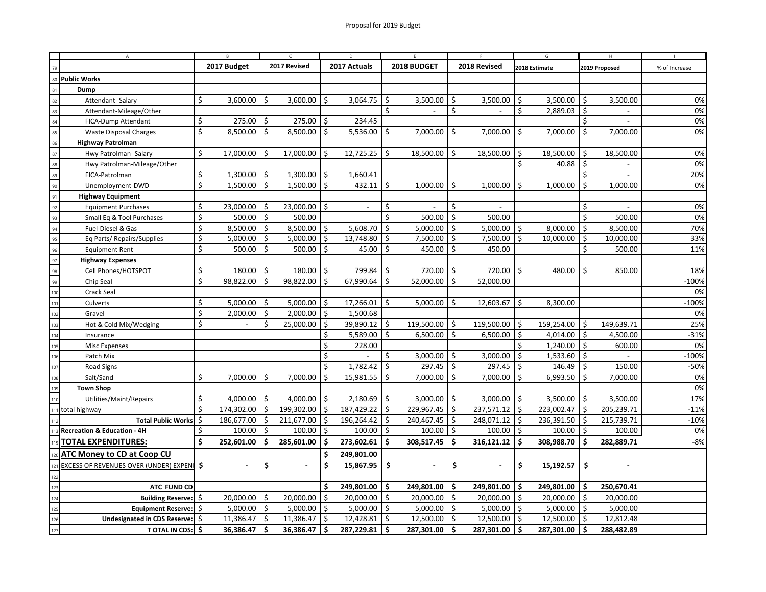|                                     | $\mathsf{A}$                            |     |             |    |                  | D.   |                     |     |                       |     |                   |      |                |                |               |               |  |
|-------------------------------------|-----------------------------------------|-----|-------------|----|------------------|------|---------------------|-----|-----------------------|-----|-------------------|------|----------------|----------------|---------------|---------------|--|
|                                     |                                         |     | 2017 Budget |    | 2017 Revised     |      | 2017 Actuals        |     | 2018 BUDGET           |     | 2018 Revised      |      | 2018 Estimate  |                | 2019 Proposed | % of Increase |  |
| <b>Public Works</b><br>$\mathbf{R}$ |                                         |     |             |    |                  |      |                     |     |                       |     |                   |      |                |                |               |               |  |
| 81                                  | Dump                                    |     |             |    |                  |      |                     |     |                       |     |                   |      |                |                |               |               |  |
| 82                                  | Attendant-Salary                        | \$  | 3.600.00    | \$ | 3.600.00         | Ś.   | 3,064.75            | Ŝ.  | 3,500.00              | \$  | 3,500.00          | Ś    | 3,500.00       | \$             | 3,500.00      | 0%            |  |
| 83                                  | Attendant-Mileage/Other                 |     |             |    |                  |      |                     | Ś.  |                       | \$  |                   | Ś    | 2,889.03       | \$             |               | 0%            |  |
| 84                                  | FICA-Dump Attendant                     | \$  | 275.00      | \$ | 275.00           | \$   | 234.45              |     |                       |     |                   |      |                | Ś.             |               | 0%            |  |
| 85                                  | <b>Waste Disposal Charges</b>           | \$  | 8,500.00    | \$ | 8,500.00         | Ŝ.   | 5,536.00 $\vert$ \$ |     | 7,000.00              | \$  | 7,000.00          | Ś.   | 7,000.00       | Ŝ.             | 7,000.00      | 0%            |  |
| 86                                  | <b>Highway Patrolman</b>                |     |             |    |                  |      |                     |     |                       |     |                   |      |                |                |               |               |  |
| 87                                  | Hwy Patrolman-Salary                    | Ś.  | 17,000.00   | \$ | 17,000.00        | \$   | $12,725.25$ \$      |     | 18,500.00             | \$  | 18,500.00         | \$   | 18,500.00      | \$             | 18,500.00     | 0%            |  |
| 88                                  | Hwy Patrolman-Mileage/Other             |     |             |    |                  |      |                     |     |                       |     |                   | \$   | 40.88          | Ś.             |               | 0%            |  |
| 89                                  | FICA-Patrolman                          | \$  | 1,300.00    | \$ | $1,300.00$ \$    |      | 1,660.41            |     |                       |     |                   |      |                | \$             |               | 20%           |  |
| 90                                  | Unemployment-DWD                        | \$  | 1,500.00    | Ŝ. | $1,500.00$ \$    |      | $432.11$ \$         |     | $1,000.00$ \$         |     | 1,000.00          | Ś.   | 1,000.00       | \$             | 1,000.00      | 0%            |  |
| 91                                  | <b>Highway Equipment</b>                |     |             |    |                  |      |                     |     |                       |     |                   |      |                |                |               |               |  |
| 92                                  | <b>Equipment Purchases</b>              | \$  | 23,000.00   | \$ | $23,000.00$   \$ |      |                     | \$  |                       | Ś.  |                   |      |                | Ś.             |               | 0%            |  |
| 93                                  | Small Eq & Tool Purchases               | \$  | 500.00      | \$ | 500.00           |      |                     | Ś.  | 500.00                | \$  | 500.00            |      |                | Ś.             | 500.00        | 0%            |  |
| 94                                  | Fuel-Diesel & Gas                       | \$  | 8,500.00    | \$ | 8,500.00         | \$   | 5,608.70            | \$  | 5,000.00              | -\$ | 5,000.00          | -\$  | 8,000.00       | \$             | 8,500.00      | 70%           |  |
| 95                                  | Eq Parts/ Repairs/Supplies              | \$  | 5,000.00    | \$ | 5,000.00         | 5    | 13,748.80           | \$  | 7,500.00              | \$  | 7,500.00          | ا \$ | 10,000.00      | \$             | 10,000.00     | 33%           |  |
| 96                                  | <b>Equipment Rent</b>                   | \$  | 500.00      | \$ | $500.00$   \$    |      | 45.00 $\vert$ \$    |     | 450.00                | Ŝ.  | 450.00            |      |                | \$             | 500.00        | 11%           |  |
| 97                                  | <b>Highway Expenses</b>                 |     |             |    |                  |      |                     |     |                       |     |                   |      |                |                |               |               |  |
| 98                                  | Cell Phones/HOTSPOT                     | \$  | 180.00      | \$ | 180.00           | Ŝ.   | 799.84              | \$  | 720.00                | \$  | 720.00            | ۱s   | 480.00         | Ŝ.             | 850.00        | 18%           |  |
| 99                                  | Chip Seal                               | \$  | 98,822.00   | \$ | 98,822.00        | Ś    | 67,990.64           | Ŝ.  | 52,000.00             | Ŝ.  | 52,000.00         |      |                |                |               | $-100%$       |  |
| 100                                 | Crack Seal                              |     |             |    |                  |      |                     |     |                       |     |                   |      |                |                |               | 0%            |  |
| 10                                  | Culverts                                | Ś   | 5,000.00    | \$ | 5,000.00         | Ś    | 17,266.01           | Ŝ.  | 5,000.00              | \$  | 12,603.67         | \$   | 8,300.00       |                |               | $-100%$       |  |
| 102                                 | Gravel                                  | Ś   | 2,000.00    | \$ | 2,000.00         | - Ś  | 1,500.68            |     |                       |     |                   |      |                |                |               | 0%            |  |
|                                     | Hot & Cold Mix/Wedging                  | \$  |             | \$ | $25,000.00$ \$   |      | $39,890.12$ \$      |     | 119,500.00 $\vert$ \$ |     | $119,500.00$   \$ |      | 159,254.00     | \$             | 149,639.71    | 25%           |  |
|                                     | Insurance                               |     |             |    |                  | \$   | 5,589.00 $\vert$ \$ |     | $6,500.00$ \$         |     | $6,500.00$ \$     |      | $4,014.00$ \$  |                | 4,500.00      | $-31%$        |  |
|                                     | <b>Misc Expenses</b>                    |     |             |    |                  | \$   | 228.00              |     |                       |     |                   | \$   | 1,240.00       | \$             | 600.00        | 0%            |  |
|                                     | Patch Mix                               |     |             |    |                  | \$   |                     | \$  | 3,000.00              | -\$ | 3,000.00          | 5    | 1,533.60       | \$             |               | $-100%$       |  |
| 10                                  | Road Signs                              |     |             |    |                  | Ś    | 1,782.42            | Ŝ.  | 297.45                | \$  | 297.45            | 5    | 146.49         | \$             | 150.00        | $-50%$        |  |
|                                     | Salt/Sand                               | \$  | 7,000.00    | \$ | 7,000.00         | \$   | $15,981.55$ \$      |     | 7,000.00              | -\$ | 7,000.00          | ا \$ | 6,993.50       | \$             | 7,000.00      | 0%            |  |
|                                     | <b>Town Shop</b>                        |     |             |    |                  |      |                     |     |                       |     |                   |      |                |                |               | 0%            |  |
|                                     | Utilities/Maint/Repairs                 | Ś.  | 4,000.00    | \$ | 4,000.00         | \$   | 2,180.69            | Ŝ.  | $3,000.00$   \$       |     | $3,000.00$ \$     |      | 3,500.00       | \$             | 3,500.00      | 17%           |  |
|                                     | total highway                           | Ś.  | 174,302.00  | S. | 199,302.00       | ۱\$  | 187,429.22 \$       |     | 229,967.45            | Ŝ.  | $237,571.12$ \$   |      | 223,002.47     | $\ddot{\zeta}$ | 205,239.71    | $-11%$        |  |
|                                     | Total Public Works   \$                 |     | 186,677.00  | Ŝ. | 211,677.00       | Ŝ.   | 196,264.42          | Ś.  | 240,467.45            | \$  | 248,071.12 \$     |      | 236,391.50     | Ŝ.             | 215,739.71    | $-10%$        |  |
|                                     | Recreation & Education - 4H             | Ŝ.  | 100.00      | \$ | $100.00$   \$    |      | $100.00$   \$       |     | $100.00$   \$         |     | $100.00$   \$     |      | $100.00$ \$    |                | 100.00        | 0%            |  |
|                                     | TOTAL EXPENDITURES:                     | Ŝ.  | 252,601.00  | Ś  | 285,601.00       | ۱Ś   | 273,602.61 \$       |     | 308,517.45            | Ś   | $316,121.12$ \$   |      | 308,988.70     | Ŝ.             | 282,889.71    | $-8%$         |  |
|                                     | ATC Money to CD at Coop CU              |     |             |    |                  | Ś    | 249,801.00          |     |                       |     |                   |      |                |                |               |               |  |
|                                     | EXCESS OF REVENUES OVER (UNDER) EXPENIS |     |             | \$ | $\sim$           | Ś    | 15,867.95           | -\$ |                       | \$  |                   | \$   | 15,192.57      | \$             |               |               |  |
|                                     |                                         |     |             |    |                  |      |                     |     |                       |     |                   |      |                |                |               |               |  |
|                                     | ATC FUND CD                             |     |             |    |                  | \$.  | 249,801.00 \$       |     | 249,801.00            | Ŝ.  | 249,801.00        | ۱Ś   | 249,801.00     | \$.            | 250,670.41    |               |  |
|                                     | <b>Building Reserve:</b>                | -\$ | 20,000.00   | Ŝ. | 20,000.00        | 5    | $20,000.00$ \$      |     | 20,000.00             | \$  | 20,000.00 \$      |      | 20,000.00      | \$             | 20,000.00     |               |  |
|                                     | Equipment Reserve: \$                   |     | 5,000.00    | \$ | $5,000.00$ \$    |      | $5,000.00$ \$       |     | $5,000.00$ \$         |     | $5,000.00$ \$     |      | $5,000.00$ \$  |                | 5,000.00      |               |  |
| 126                                 | Undesignated in CDS Reserve: \$         |     | 11,386.47   | \$ | 11,386.47        | l \$ | $12,428.81$ \$      |     | $12,500.00$ \$        |     | 12,500.00 \$      |      | $12,500.00$ \$ |                | 12,812.48     |               |  |
| 127                                 | TOTAL IN CDS: \$                        |     | 36,386.47   | Ŝ. | $36,386.47$ \$   |      | $287,229.81$ \$     |     | 287,301.00            | Ŝ.  | 287,301.00        | ۱s   | 287,301.00     | Ŝ.             | 288,482.89    |               |  |